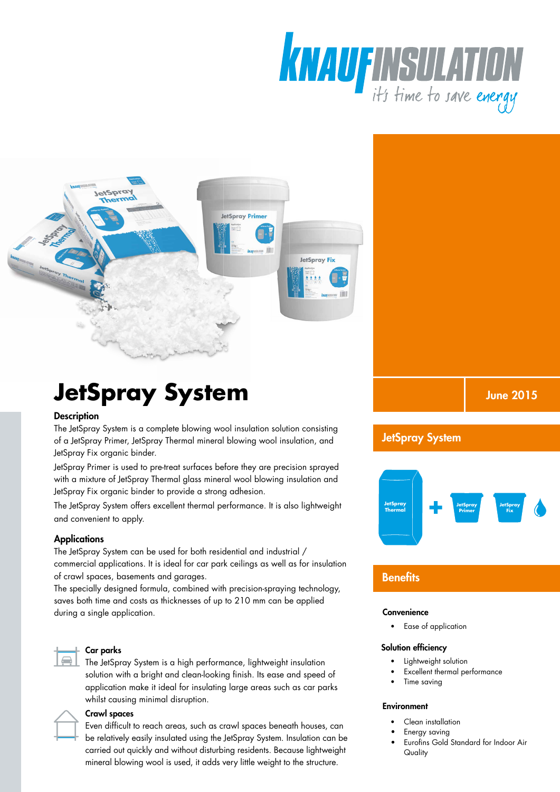



# **JetSpray System**

#### **Description**

The JetSpray System is a complete blowing wool insulation solution consisting of a JetSpray Primer, JetSpray Thermal mineral blowing wool insulation, and JetSpray Fix organic binder.

JetSpray Primer is used to pre-treat surfaces before they are precision sprayed with a mixture of JetSpray Thermal glass mineral wool blowing insulation and JetSpray Fix organic binder to provide a strong adhesion.

The JetSpray System offers excellent thermal performance. It is also lightweight and convenient to apply.

#### **Applications**

The JetSpray System can be used for both residential and industrial / commercial applications. It is ideal for car park ceilings as well as for insulation of crawl spaces, basements and garages.

The specially designed formula, combined with precision-spraying technology, saves both time and costs as thicknesses of up to 210 mm can be applied during a single application.



#### Car parks

The JetSpray System is a high performance, lightweight insulation solution with a bright and clean-looking finish. Its ease and speed of application make it ideal for insulating large areas such as car parks whilst causing minimal disruption.



#### Crawl spaces

Even difficult to reach areas, such as crawl spaces beneath houses, can be relatively easily insulated using the JetSpray System. Insulation can be carried out quickly and without disturbing residents. Because lightweight mineral blowing wool is used, it adds very little weight to the structure.

June 2015

### JetSpray System



## **Benefits**

#### **Convenience**

• Ease of application

#### Solution efficiency

- Lightweight solution
	- Excellent thermal performance
	- Time saving

#### **Environment**

- Clean installation
	- Energy saving
- Eurofins Gold Standard for Indoor Air **Quality**